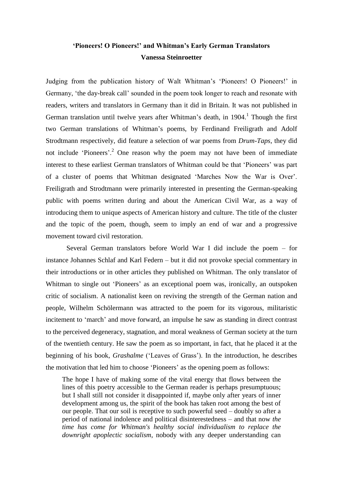# **'Pioneers! O Pioneers!' and Whitman's Early German Translators Vanessa Steinroetter**

Judging from the publication history of Walt Whitman's 'Pioneers! O Pioneers!' in Germany, 'the day-break call' sounded in the poem took longer to reach and resonate with readers, writers and translators in Germany than it did in Britain. It was not published in German translation until twelve years after Whitman's death, in  $1904$ .<sup>1</sup> Though the first two German translations of Whitman's poems, by Ferdinand Freiligrath and Adolf Strodtmann respectively, did feature a selection of war poems from *Drum-Taps*, they did not include 'Pioneers'.<sup>2</sup> One reason why the poem may not have been of immediate interest to these earliest German translators of Whitman could be that 'Pioneers' was part of a cluster of poems that Whitman designated 'Marches Now the War is Over'. Freiligrath and Strodtmann were primarily interested in presenting the German-speaking public with poems written during and about the American Civil War, as a way of introducing them to unique aspects of American history and culture. The title of the cluster and the topic of the poem, though, seem to imply an end of war and a progressive movement toward civil restoration.

Several German translators before World War I did include the poem – for instance Johannes Schlaf and Karl Federn – but it did not provoke special commentary in their introductions or in other articles they published on Whitman. The only translator of Whitman to single out 'Pioneers' as an exceptional poem was, ironically, an outspoken critic of socialism. A nationalist keen on reviving the strength of the German nation and people, Wilhelm Schölermann was attracted to the poem for its vigorous, militaristic incitement to 'march' and move forward, an impulse he saw as standing in direct contrast to the perceived degeneracy, stagnation, and moral weakness of German society at the turn of the twentieth century. He saw the poem as so important, in fact, that he placed it at the beginning of his book, *Grashalme* ('Leaves of Grass'). In the introduction, he describes the motivation that led him to choose 'Pioneers' as the opening poem as follows:

The hope I have of making some of the vital energy that flows between the lines of this poetry accessible to the German reader is perhaps presumptuous; but I shall still not consider it disappointed if, maybe only after years of inner development among us, the spirit of the book has taken root among the best of our people. That our soil is receptive to such powerful seed – doubly so after a period of national indolence and political disinterestedness – and that now *the time has come for Whitman's healthy social individualism to replace the downright apoplectic socialism*, nobody with any deeper understanding can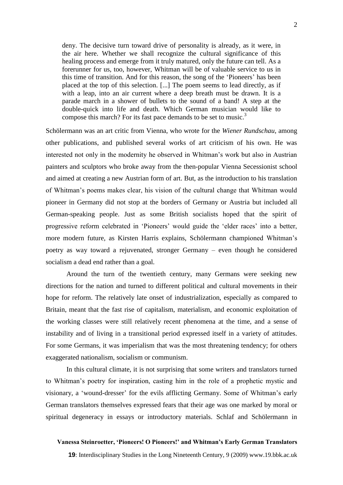deny. The decisive turn toward drive of personality is already, as it were, in the air here. Whether we shall recognize the cultural significance of this healing process and emerge from it truly matured, only the future can tell. As a forerunner for us, too, however, Whitman will be of valuable service to us in this time of transition. And for this reason, the song of the 'Pioneers' has been placed at the top of this selection. [...] The poem seems to lead directly, as if with a leap, into an air current where a deep breath must be drawn. It is a parade march in a shower of bullets to the sound of a band! A step at the double-quick into life and death. Which German musician would like to compose this march? For its fast pace demands to be set to music.<sup>3</sup>

Schölermann was an art critic from Vienna, who wrote for the *Wiener Rundschau*, among other publications, and published several works of art criticism of his own. He was interested not only in the modernity he observed in Whitman's work but also in Austrian painters and sculptors who broke away from the then-popular Vienna Secessionist school and aimed at creating a new Austrian form of art. But, as the introduction to his translation of Whitman's poems makes clear, his vision of the cultural change that Whitman would pioneer in Germany did not stop at the borders of Germany or Austria but included all German-speaking people. Just as some British socialists hoped that the spirit of progressive reform celebrated in 'Pioneers' would guide the 'elder races' into a better, more modern future, as Kirsten Harris explains, Schölermann championed Whitman's poetry as way toward a rejuvenated, stronger Germany – even though he considered socialism a dead end rather than a goal.

Around the turn of the twentieth century, many Germans were seeking new directions for the nation and turned to different political and cultural movements in their hope for reform. The relatively late onset of industrialization, especially as compared to Britain, meant that the fast rise of capitalism, materialism, and economic exploitation of the working classes were still relatively recent phenomena at the time, and a sense of instability and of living in a transitional period expressed itself in a variety of attitudes. For some Germans, it was imperialism that was the most threatening tendency; for others exaggerated nationalism, socialism or communism.

In this cultural climate, it is not surprising that some writers and translators turned to Whitman's poetry for inspiration, casting him in the role of a prophetic mystic and visionary, a 'wound-dresser' for the evils afflicting Germany. Some of Whitman's early German translators themselves expressed fears that their age was one marked by moral or spiritual degeneracy in essays or introductory materials. Schlaf and Schölermann in

#### **Vanessa Steinroetter, 'Pioneers! O Pioneers!' and Whitman's Early German Translators**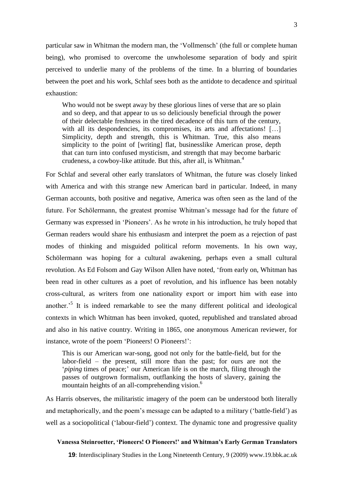particular saw in Whitman the modern man, the 'Vollmensch' (the full or complete human being), who promised to overcome the unwholesome separation of body and spirit perceived to underlie many of the problems of the time. In a blurring of boundaries between the poet and his work, Schlaf sees both as the antidote to decadence and spiritual exhaustion:

Who would not be swept away by these glorious lines of verse that are so plain and so deep, and that appear to us so deliciously beneficial through the power of their delectable freshness in the tired decadence of this turn of the century, with all its despondencies, its compromises, its arts and affectations! [...] Simplicity, depth and strength, this is Whitman. True, this also means simplicity to the point of [writing] flat, businesslike American prose, depth that can turn into confused mysticism, and strength that may become barbaric crudeness, a cowboy-like attitude. But this, after all, is Whitman.<sup>4</sup>

For Schlaf and several other early translators of Whitman, the future was closely linked with America and with this strange new American bard in particular. Indeed, in many German accounts, both positive and negative, America was often seen as the land of the future. For Schölermann, the greatest promise Whitman's message had for the future of Germany was expressed in 'Pioneers'. As he wrote in his introduction, he truly hoped that German readers would share his enthusiasm and interpret the poem as a rejection of past modes of thinking and misguided political reform movements. In his own way, Schölermann was hoping for a cultural awakening, perhaps even a small cultural revolution. As Ed Folsom and Gay Wilson Allen have noted, 'from early on, Whitman has been read in other cultures as a poet of revolution, and his influence has been notably cross-cultural, as writers from one nationality export or import him with ease into another.<sup>5</sup> It is indeed remarkable to see the many different political and ideological contexts in which Whitman has been invoked, quoted, republished and translated abroad and also in his native country. Writing in 1865, one anonymous American reviewer, for instance, wrote of the poem 'Pioneers! O Pioneers!':

This is our American war-song, good not only for the battle-field, but for the labor-field – the present, still more than the past; for ours are not the '*piping* times of peace;' our American life is on the march, filing through the passes of outgrown formalism, outflanking the hosts of slavery, gaining the mountain heights of an all-comprehending vision.<sup>6</sup>

As Harris observes, the militaristic imagery of the poem can be understood both literally and metaphorically, and the poem's message can be adapted to a military ('battle-field') as well as a sociopolitical ('labour-field') context. The dynamic tone and progressive quality

#### **Vanessa Steinroetter, 'Pioneers! O Pioneers!' and Whitman's Early German Translators**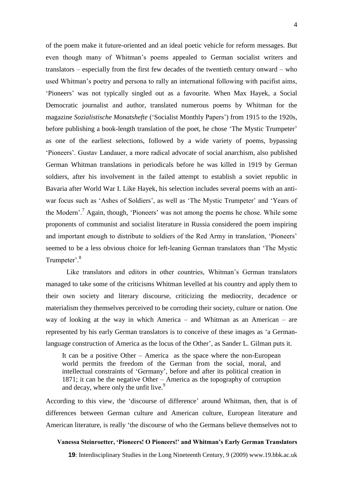of the poem make it future-oriented and an ideal poetic vehicle for reform messages. But even though many of Whitman's poems appealed to German socialist writers and translators – especially from the first few decades of the twentieth century onward – who used Whitman's poetry and persona to rally an international following with pacifist aims, 'Pioneers' was not typically singled out as a favourite. When Max Hayek, a Social Democratic journalist and author, translated numerous poems by Whitman for the magazine *Sozialistische Monatshefte* ('Socialist Monthly Papers') from 1915 to the 1920s, before publishing a book-length translation of the poet, he chose 'The Mystic Trumpeter' as one of the earliest selections, followed by a wide variety of poems, bypassing 'Pioneers'. Gustav Landauer, a more radical advocate of social anarchism, also published German Whitman translations in periodicals before he was killed in 1919 by German soldiers, after his involvement in the failed attempt to establish a soviet republic in Bavaria after World War I. Like Hayek, his selection includes several poems with an antiwar focus such as 'Ashes of Soldiers', as well as 'The Mystic Trumpeter' and 'Years of the Modern'.<sup>7</sup> Again, though, 'Pioneers' was not among the poems he chose. While some proponents of communist and socialist literature in Russia considered the poem inspiring and important enough to distribute to soldiers of the Red Army in translation, 'Pioneers' seemed to be a less obvious choice for left-leaning German translators than 'The Mystic Trumpeter'.<sup>8</sup>

Like translators and editors in other countries, Whitman's German translators managed to take some of the criticisms Whitman levelled at his country and apply them to their own society and literary discourse, criticizing the mediocrity, decadence or materialism they themselves perceived to be corroding their society, culture or nation. One way of looking at the way in which America – and Whitman as an American – are represented by his early German translators is to conceive of these images as 'a Germanlanguage construction of America as the locus of the Other', as Sander L. Gilman puts it.

It can be a positive Other – America as the space where the non-European world permits the freedom of the German from the social, moral, and intellectual constraints of 'Germany', before and after its political creation in 1871; it can be the negative Other – America as the topography of corruption and decay, where only the unfit live.<sup>9</sup>

According to this view, the 'discourse of difference' around Whitman, then, that is of differences between German culture and American culture, European literature and American literature, is really 'the discourse of who the Germans believe themselves not to

## **Vanessa Steinroetter, 'Pioneers! O Pioneers!' and Whitman's Early German Translators**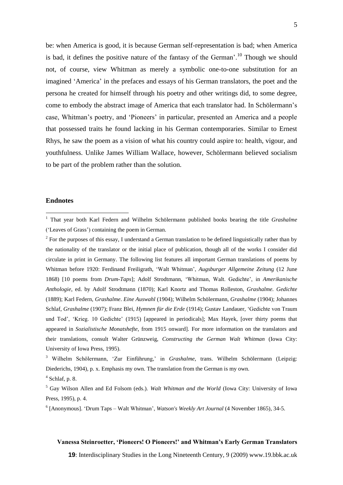be: when America is good, it is because German self-representation is bad; when America is bad, it defines the positive nature of the fantasy of the German'.<sup>10</sup> Though we should not, of course, view Whitman as merely a symbolic one-to-one substitution for an imagined 'America' in the prefaces and essays of his German translators, the poet and the persona he created for himself through his poetry and other writings did, to some degree, come to embody the abstract image of America that each translator had. In Schölermann's case, Whitman's poetry, and 'Pioneers' in particular, presented an America and a people that possessed traits he found lacking in his German contemporaries. Similar to Ernest Rhys, he saw the poem as a vision of what his country could aspire to: health, vigour, and youthfulness. Unlike James William Wallace, however, Schölermann believed socialism to be part of the problem rather than the solution.

### **Endnotes**

1

## **Vanessa Steinroetter, 'Pioneers! O Pioneers!' and Whitman's Early German Translators**

<sup>1</sup> That year both Karl Federn and Wilhelm Schölermann published books bearing the title *Grashalme* ('Leaves of Grass') containing the poem in German.

 $2^2$  For the purposes of this essay, I understand a German translation to be defined linguistically rather than by the nationality of the translator or the initial place of publication, though all of the works I consider did circulate in print in Germany. The following list features all important German translations of poems by Whitman before 1920: Ferdinand Freiligrath, 'Walt Whitman', *Augsburger Allgemeine Zeitung* (12 June 1868) [10 poems from *Drum-Taps*]; Adolf Strodtmann, 'Whitman, Walt. Gedichte', in *Amerikanische Anthologie*, ed. by Adolf Strodtmann (1870); Karl Knortz and Thomas Rolleston, *Grashalme. Gedichte* (1889); Karl Federn, *Grashalme*. *Eine Auswahl* (1904); Wilhelm Schölermann, *Grashalme* (1904); Johannes Schlaf, *Grashalme* (1907); Franz Blei, *Hymnen für die Erde* (1914); Gustav Landauer, 'Gedichte von Traum und Tod', 'Krieg. 10 Gedichte' (1915) [appeared in periodicals]; Max Hayek, [over thirty poems that appeared in *Sozialistische Monatshefte*, from 1915 onward]. For more information on the translators and their translations, consult Walter Grünzweig, *Constructing the German Walt Whitman* (Iowa City: University of Iowa Press, 1995).

<sup>3</sup> Wilhelm Schölermann, 'Zur Einführung,' in *Grashalme*, trans. Wilhelm Schölermann (Leipzig: Diederichs, 1904), p. x. Emphasis my own. The translation from the German is my own.

 $<sup>4</sup>$  Schlaf, p. 8.</sup>

<sup>5</sup> Gay Wilson Allen and Ed Folsom (eds.). *Walt Whitman and the World* (Iowa City: University of Iowa Press, 1995), p. 4.

<sup>6</sup> [Anonymous]. 'Drum Taps – Walt Whitman', *Watson's Weekly Art Journal* (4 November 1865), 34-5.